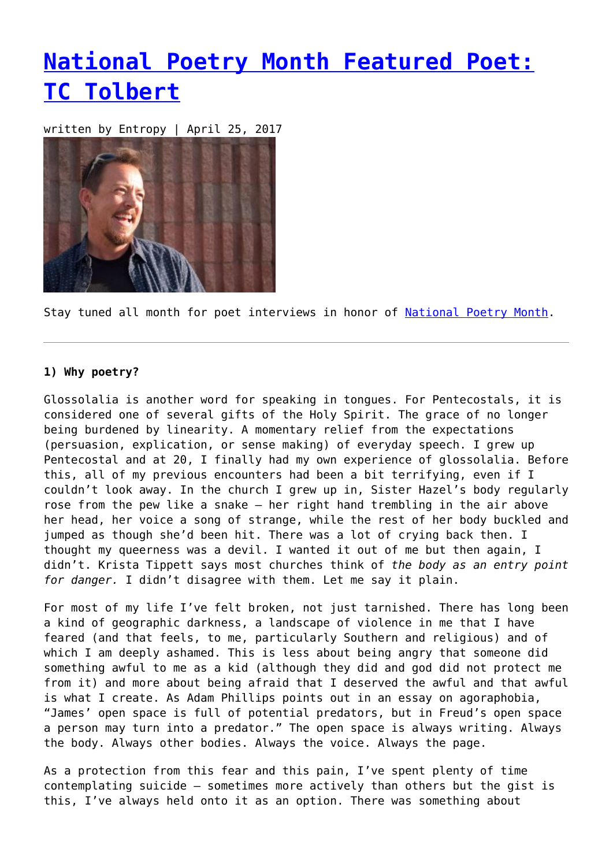## **[National Poetry Month Featured Poet:](https://entropymag.org/national-poetry-month-featured-poet-tc-tolbert/) [TC Tolbert](https://entropymag.org/national-poetry-month-featured-poet-tc-tolbert/)**

written by Entropy | April 25, 2017



Stay tuned all month for poet interviews in honor of [National Poetry Month.](https://entropymag.org/tag/national-poetry-month)

## **1) Why poetry?**

Glossolalia is another word for speaking in tongues. For Pentecostals, it is considered one of several gifts of the Holy Spirit. The grace of no longer being burdened by linearity. A momentary relief from the expectations (persuasion, explication, or sense making) of everyday speech. I grew up Pentecostal and at 20, I finally had my own experience of glossolalia. Before this, all of my previous encounters had been a bit terrifying, even if I couldn't look away. In the church I grew up in, Sister Hazel's body regularly rose from the pew like a snake – her right hand trembling in the air above her head, her voice a song of strange, while the rest of her body buckled and iumped as though she'd been hit. There was a lot of crying back then. I thought my queerness was a devil. I wanted it out of me but then again, I didn't. Krista Tippett says most churches think of *the body as an entry point for danger.* I didn't disagree with them. Let me say it plain.

For most of my life I've felt broken, not just tarnished. There has long been a kind of geographic darkness, a landscape of violence in me that I have feared (and that feels, to me, particularly Southern and religious) and of which I am deeply ashamed. This is less about being angry that someone did something awful to me as a kid (although they did and god did not protect me from it) and more about being afraid that I deserved the awful and that awful is what I create. As Adam Phillips points out in an essay on agoraphobia, "James' open space is full of potential predators, but in Freud's open space a person may turn into a predator." The open space is always writing. Always the body. Always other bodies. Always the voice. Always the page.

As a protection from this fear and this pain, I've spent plenty of time contemplating suicide – sometimes more actively than others but the gist is this, I've always held onto it as an option. There was something about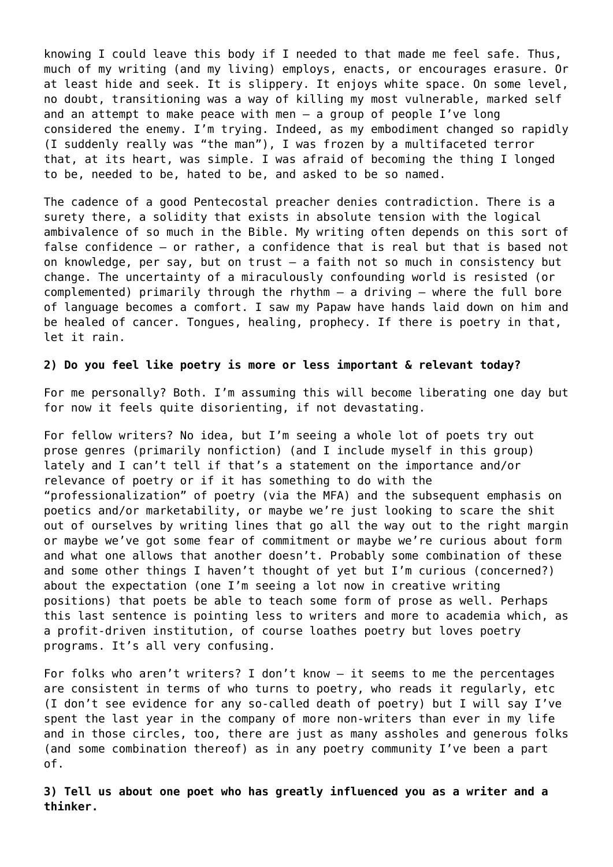knowing I could leave this body if I needed to that made me feel safe. Thus, much of my writing (and my living) employs, enacts, or encourages erasure. Or at least hide and seek. It is slippery. It enjoys white space. On some level, no doubt, transitioning was a way of killing my most vulnerable, marked self and an attempt to make peace with men – a group of people I've long considered the enemy. I'm trying. Indeed, as my embodiment changed so rapidly (I suddenly really was "the man"), I was frozen by a multifaceted terror that, at its heart, was simple. I was afraid of becoming the thing I longed to be, needed to be, hated to be, and asked to be so named.

The cadence of a good Pentecostal preacher denies contradiction. There is a surety there, a solidity that exists in absolute tension with the logical ambivalence of so much in the Bible. My writing often depends on this sort of false confidence – or rather, a confidence that is real but that is based not on knowledge, per say, but on trust – a faith not so much in consistency but change. The uncertainty of a miraculously confounding world is resisted (or complemented) primarily through the rhythm – a driving – where the full bore of language becomes a comfort. I saw my Papaw have hands laid down on him and be healed of cancer. Tongues, healing, prophecy. If there is poetry in that, let it rain.

## **2) Do you feel like poetry is more or less important & relevant today?**

For me personally? Both. I'm assuming this will become liberating one day but for now it feels quite disorienting, if not devastating.

For fellow writers? No idea, but I'm seeing a whole lot of poets try out prose genres (primarily nonfiction) (and I include myself in this group) lately and I can't tell if that's a statement on the importance and/or relevance of poetry or if it has something to do with the "professionalization" of poetry (via the MFA) and the subsequent emphasis on poetics and/or marketability, or maybe we're just looking to scare the shit out of ourselves by writing lines that go all the way out to the right margin or maybe we've got some fear of commitment or maybe we're curious about form and what one allows that another doesn't. Probably some combination of these and some other things I haven't thought of yet but I'm curious (concerned?) about the expectation (one I'm seeing a lot now in creative writing positions) that poets be able to teach some form of prose as well. Perhaps this last sentence is pointing less to writers and more to academia which, as a profit-driven institution, of course loathes poetry but loves poetry programs. It's all very confusing.

For folks who aren't writers? I don't know – it seems to me the percentages are consistent in terms of who turns to poetry, who reads it regularly, etc (I don't see evidence for any so-called death of poetry) but I will say I've spent the last year in the company of more non-writers than ever in my life and in those circles, too, there are just as many assholes and generous folks (and some combination thereof) as in any poetry community I've been a part of.

**3) Tell us about one poet who has greatly influenced you as a writer and a thinker.**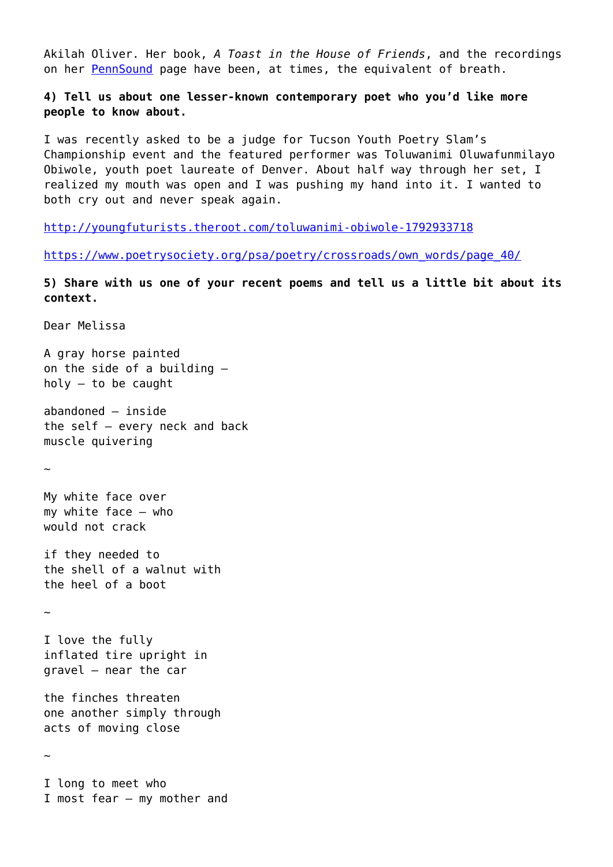Akilah Oliver. Her book, *A Toast in the House of Friends*, and the recordings on her [PennSound](http://writing.upenn.edu/pennsound/x/Oliver.php) page have been, at times, the equivalent of breath.

**4) Tell us about one lesser-known contemporary poet who you'd like more people to know about.**

I was recently asked to be a judge for Tucson Youth Poetry Slam's Championship event and the featured performer was Toluwanimi Oluwafunmilayo Obiwole, youth poet laureate of Denver. About half way through her set, I realized my mouth was open and I was pushing my hand into it. I wanted to both cry out and never speak again.

<http://youngfuturists.theroot.com/toluwanimi-obiwole-1792933718>

[https://www.poetrysociety.org/psa/poetry/crossroads/own\\_words/page\\_40/](https://www.poetrysociety.org/psa/poetry/crossroads/own_words/page_40/)

**5) Share with us one of your recent poems and tell us a little bit about its context.**

Dear Melissa

A gray horse painted on the side of a building – holy – to be caught

abandoned – inside the self – every neck and back muscle quivering

 $\sim$ 

My white face over my white face – who would not crack

if they needed to the shell of a walnut with the heel of a boot

~

I love the fully inflated tire upright in gravel – near the car

the finches threaten one another simply through acts of moving close

~

I long to meet who I most fear – my mother and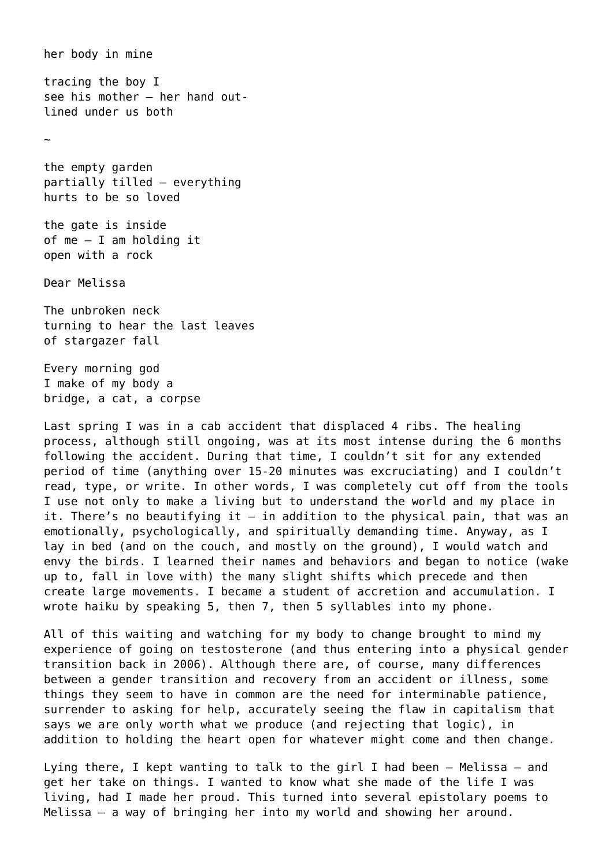her body in mine tracing the boy I see his mother – her hand outlined under us both ~ the empty garden partially tilled – everything hurts to be so loved the gate is inside of me – I am holding it open with a rock Dear Melissa The unbroken neck turning to hear the last leaves of stargazer fall Every morning god

I make of my body a bridge, a cat, a corpse

Last spring I was in a cab accident that displaced 4 ribs. The healing process, although still ongoing, was at its most intense during the 6 months following the accident. During that time, I couldn't sit for any extended period of time (anything over 15-20 minutes was excruciating) and I couldn't read, type, or write. In other words, I was completely cut off from the tools I use not only to make a living but to understand the world and my place in it. There's no beautifying it – in addition to the physical pain, that was an emotionally, psychologically, and spiritually demanding time. Anyway, as I lay in bed (and on the couch, and mostly on the ground), I would watch and envy the birds. I learned their names and behaviors and began to notice (wake up to, fall in love with) the many slight shifts which precede and then create large movements. I became a student of accretion and accumulation. I wrote haiku by speaking 5, then 7, then 5 syllables into my phone.

All of this waiting and watching for my body to change brought to mind my experience of going on testosterone (and thus entering into a physical gender transition back in 2006). Although there are, of course, many differences between a gender transition and recovery from an accident or illness, some things they seem to have in common are the need for interminable patience, surrender to asking for help, accurately seeing the flaw in capitalism that says we are only worth what we produce (and rejecting that logic), in addition to holding the heart open for whatever might come and then change.

Lying there, I kept wanting to talk to the girl I had been – Melissa – and get her take on things. I wanted to know what she made of the life I was living, had I made her proud. This turned into several epistolary poems to Melissa – a way of bringing her into my world and showing her around.